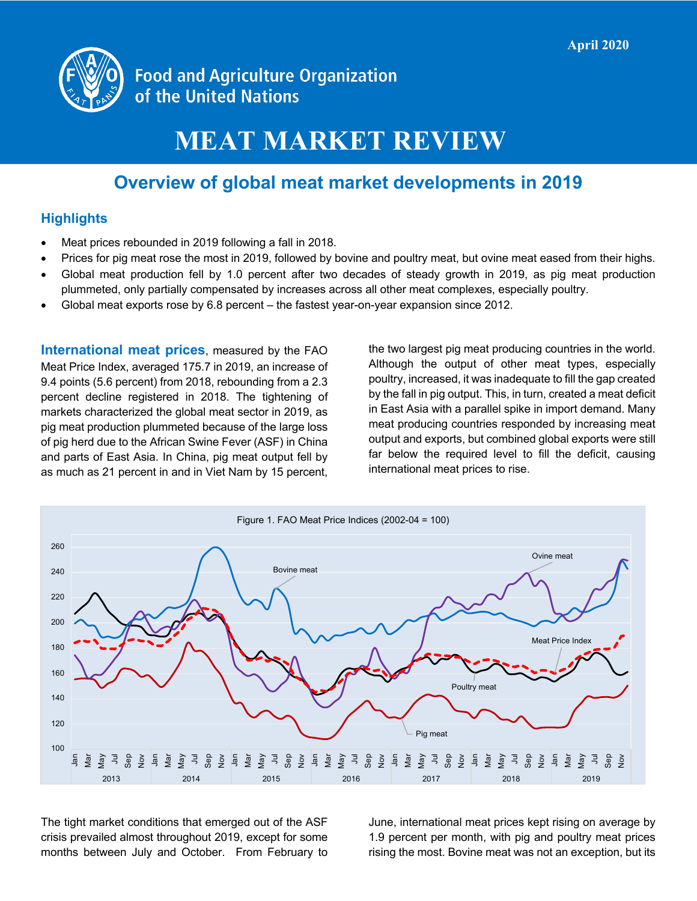

**Food and Agriculture Organization** of the United Nations

# **MEAT MARKET REVIEW**

## **Overview of global meat market developments in 2019**

#### **Highlights**

- Meat prices rebounded in 2019 following a fall in 2018.
- Prices for pig meat rose the most in 2019, followed by bovine and poultry meat, but ovine meat eased from their highs.
- Global meat production fell by 1.0 percent after two decades of steady growth in 2019, as pig meat production plummeted, only partially compensated by increases across all other meat complexes, especially poultry.
- Global meat exports rose by 6.8 percent the fastest year-on-year expansion since 2012.

**International meat prices**, measured by the FAO Meat Price Index, averaged 175.7 in 2019, an increase of 9.4 points (5.6 percent) from 2018, rebounding from a 2.3 percent decline registered in 2018. The tightening of markets characterized the global meat sector in 2019, as pig meat production plummeted because of the large loss of pig herd due to the African Swine Fever (ASF) in China and parts of East Asia. In China, pig meat output fell by as much as 21 percent in and in Viet Nam by 15 percent,

the two largest pig meat producing countries in the world. Although the output of other meat types, especially poultry, increased, it was inadequate to fill the gap created by the fall in pig output. This, in turn, created a meat deficit in East Asia with a parallel spike in import demand. Many meat producing countries responded by increasing meat output and exports, but combined global exports were still far below the required level to fill the deficit, causing international meat prices to rise.



The tight market conditions that emerged out of the ASF crisis prevailed almost throughout 2019, except for some months between July and October. From February to June, international meat prices kept rising on average by 1.9 percent per month, with pig and poultry meat prices rising the most. Bovine meat was not an exception, but its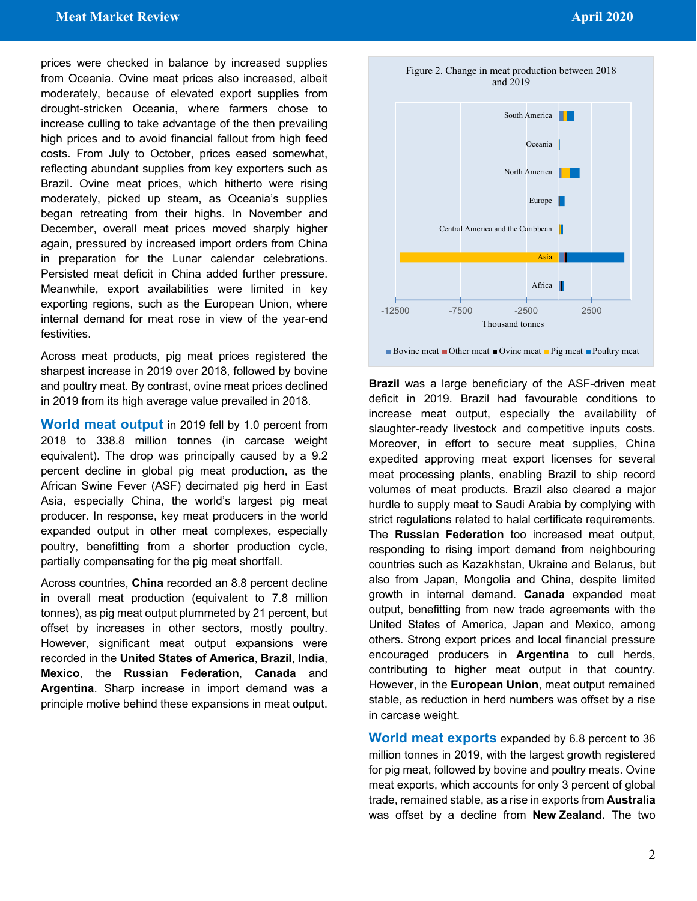prices were checked in balance by increased supplies from Oceania. Ovine meat prices also increased, albeit moderately, because of elevated export supplies from drought-stricken Oceania, where farmers chose to increase culling to take advantage of the then prevailing high prices and to avoid financial fallout from high feed costs. From July to October, prices eased somewhat, reflecting abundant supplies from key exporters such as Brazil. Ovine meat prices, which hitherto were rising moderately, picked up steam, as Oceania's supplies began retreating from their highs. In November and December, overall meat prices moved sharply higher again, pressured by increased import orders from China in preparation for the Lunar calendar celebrations. Persisted meat deficit in China added further pressure. Meanwhile, export availabilities were limited in key exporting regions, such as the European Union, where internal demand for meat rose in view of the year-end festivities.

Across meat products, pig meat prices registered the sharpest increase in 2019 over 2018, followed by bovine and poultry meat. By contrast, ovine meat prices declined in 2019 from its high average value prevailed in 2018.

**World meat output** in 2019 fell by 1.0 percent from 2018 to 338.8 million tonnes (in carcase weight equivalent). The drop was principally caused by a 9.2 percent decline in global pig meat production, as the African Swine Fever (ASF) decimated pig herd in East Asia, especially China, the world's largest pig meat producer. In response, key meat producers in the world expanded output in other meat complexes, especially poultry, benefitting from a shorter production cycle, partially compensating for the pig meat shortfall.

Across countries, **China** recorded an 8.8 percent decline in overall meat production (equivalent to 7.8 million tonnes), as pig meat output plummeted by 21 percent, but offset by increases in other sectors, mostly poultry. However, significant meat output expansions were recorded in the **United States of America**, **Brazil**, **India**, **Mexico**, the **Russian Federation**, **Canada** and **Argentina**. Sharp increase in import demand was a principle motive behind these expansions in meat output.



**Brazil** was a large beneficiary of the ASF-driven meat deficit in 2019. Brazil had favourable conditions to increase meat output, especially the availability of slaughter-ready livestock and competitive inputs costs. Moreover, in effort to secure meat supplies, China expedited approving meat export licenses for several meat processing plants, enabling Brazil to ship record volumes of meat products. Brazil also cleared a major hurdle to supply meat to Saudi Arabia by complying with strict regulations related to halal certificate requirements. The **Russian Federation** too increased meat output, responding to rising import demand from neighbouring countries such as Kazakhstan, Ukraine and Belarus, but also from Japan, Mongolia and China, despite limited growth in internal demand. **Canada** expanded meat output, benefitting from new trade agreements with the United States of America, Japan and Mexico, among others. Strong export prices and local financial pressure encouraged producers in **Argentina** to cull herds, contributing to higher meat output in that country. However, in the **European Union**, meat output remained stable, as reduction in herd numbers was offset by a rise in carcase weight.

**World meat exports** expanded by 6.8 percent to 36 million tonnes in 2019, with the largest growth registered for pig meat, followed by bovine and poultry meats. Ovine meat exports, which accounts for only 3 percent of global trade, remained stable, as a rise in exports from **Australia** was offset by a decline from **New Zealand.** The two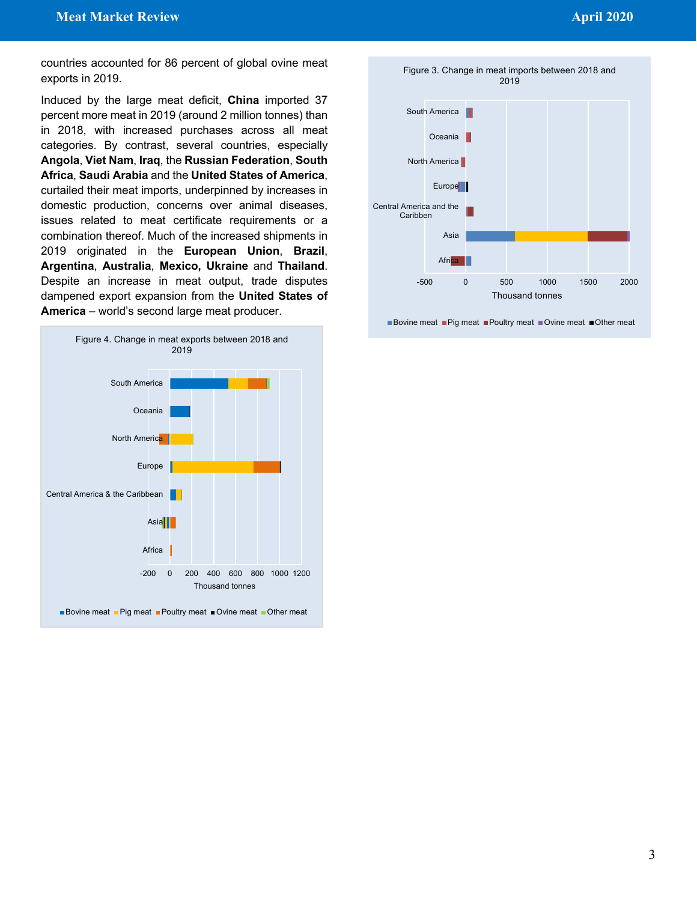countries accounted for 86 percent of global ovine meat exports in 2019.

Induced by the large meat deficit, **China** imported 37 percent more meat in 2019 (around 2 million tonnes) than in 2018, with increased purchases across all meat categories. By contrast, several countries, especially **Angola**, **Viet Nam**, **Iraq**, the **Russian Federation**, **South Africa**, **Saudi Arabia** and the **United States of America**, curtailed their meat imports, underpinned by increases in domestic production, concerns over animal diseases, issues related to meat certificate requirements or a combination thereof. Much of the increased shipments in 2019 originated in the **European Union**, **Brazil**, **Argentina**, **Australia**, **Mexico, Ukraine** and **Thailand**. Despite an increase in meat output, trade disputes dampened export expansion from the **United States of America** – world's second large meat producer.







■ Bovine meat ■ Pig meat ■ Poultry meat ■ Ovine meat ■ Other meat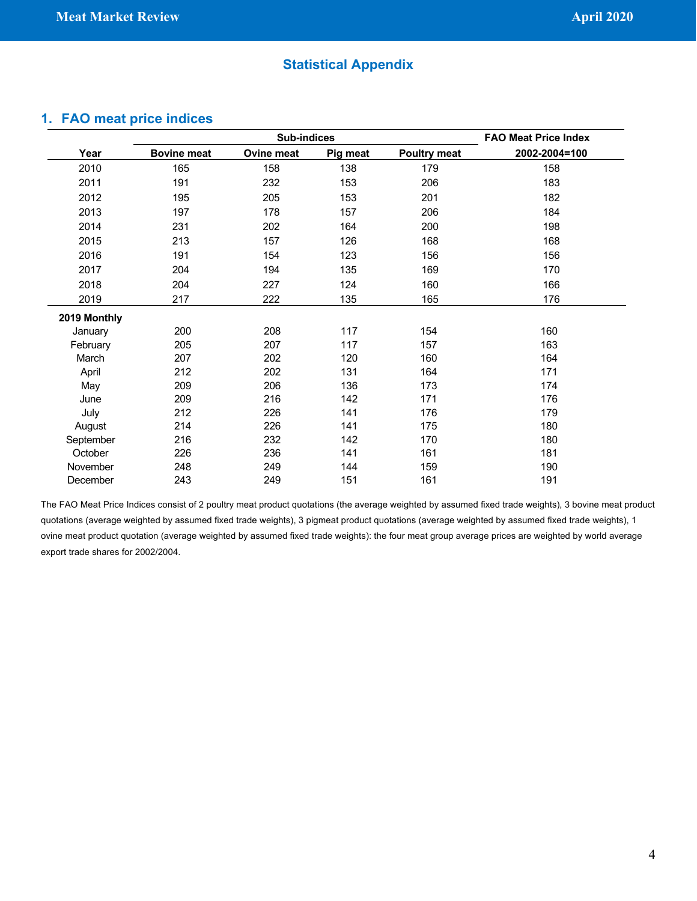#### **Statistical Appendix**

#### **1. FAO meat price indices**

|              |                    | <b>FAO Meat Price Index</b> |          |                     |               |
|--------------|--------------------|-----------------------------|----------|---------------------|---------------|
| Year         | <b>Bovine meat</b> | <b>Ovine meat</b>           | Pig meat | <b>Poultry meat</b> | 2002-2004=100 |
| 2010         | 165                | 158                         | 138      | 179                 | 158           |
| 2011         | 191                | 232                         | 153      | 206                 | 183           |
| 2012         | 195                | 205                         | 153      | 201                 | 182           |
| 2013         | 197                | 178                         | 157      | 206                 | 184           |
| 2014         | 231                | 202                         | 164      | 200                 | 198           |
| 2015         | 213                | 157                         | 126      | 168                 | 168           |
| 2016         | 191                | 154                         | 123      | 156                 | 156           |
| 2017         | 204                | 194                         | 135      | 169                 | 170           |
| 2018         | 204                | 227                         | 124      | 160                 | 166           |
| 2019         | 217                | 222                         | 135      | 165                 | 176           |
| 2019 Monthly |                    |                             |          |                     |               |
| January      | 200                | 208                         | 117      | 154                 | 160           |
| February     | 205                | 207                         | 117      | 157                 | 163           |
| March        | 207                | 202                         | 120      | 160                 | 164           |
| April        | 212                | 202                         | 131      | 164                 | 171           |
| May          | 209                | 206                         | 136      | 173                 | 174           |
| June         | 209                | 216                         | 142      | 171                 | 176           |
| July         | 212                | 226                         | 141      | 176                 | 179           |
| August       | 214                | 226                         | 141      | 175                 | 180           |
| September    | 216                | 232                         | 142      | 170                 | 180           |
| October      | 226                | 236                         | 141      | 161                 | 181           |
| November     | 248                | 249                         | 144      | 159                 | 190           |
| December     | 243                | 249                         | 151      | 161                 | 191           |

The FAO Meat Price Indices consist of 2 poultry meat product quotations (the average weighted by assumed fixed trade weights), 3 bovine meat product quotations (average weighted by assumed fixed trade weights), 3 pigmeat product quotations (average weighted by assumed fixed trade weights), 1 ovine meat product quotation (average weighted by assumed fixed trade weights): the four meat group average prices are weighted by world average export trade shares for 2002/2004.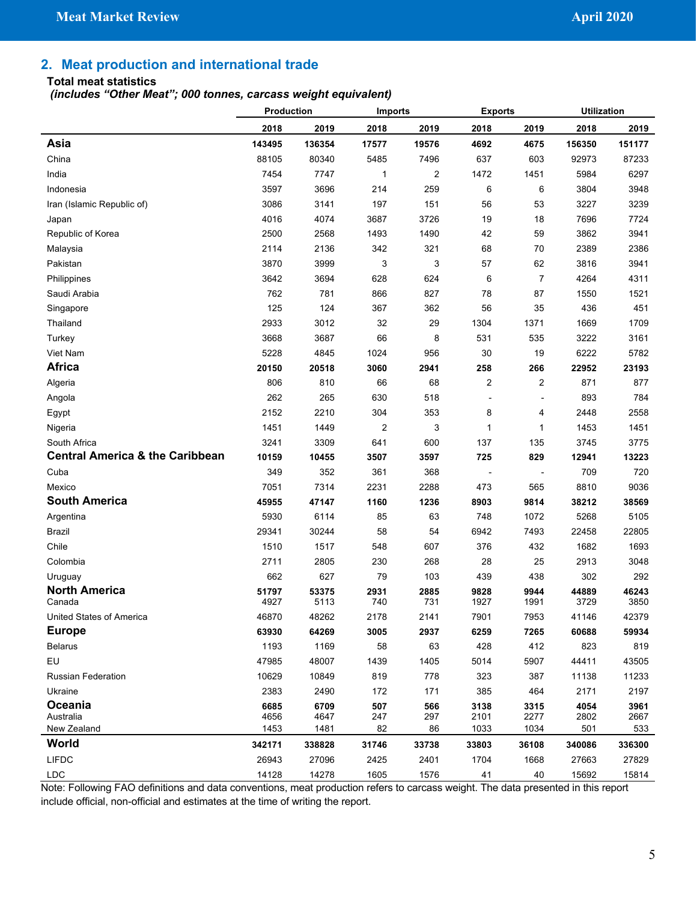### **2. Meat production and international trade**

#### **Total meat statistics**

*(includes "Other Meat"; 000 tonnes, carcass weight equivalent)*

|                                            | Production    |               | <b>Imports</b>          |                | <b>Exports</b>           |                          | <b>Utilization</b> |               |
|--------------------------------------------|---------------|---------------|-------------------------|----------------|--------------------------|--------------------------|--------------------|---------------|
|                                            | 2018          | 2019          | 2018                    | 2019           | 2018                     | 2019                     | 2018               | 2019          |
| Asia                                       | 143495        | 136354        | 17577                   | 19576          | 4692                     | 4675                     | 156350             | 151177        |
| China                                      | 88105         | 80340         | 5485                    | 7496           | 637                      | 603                      | 92973              | 87233         |
| India                                      | 7454          | 7747          | 1                       | $\overline{c}$ | 1472                     | 1451                     | 5984               | 6297          |
| Indonesia                                  | 3597          | 3696          | 214                     | 259            | 6                        | 6                        | 3804               | 3948          |
| Iran (Islamic Republic of)                 | 3086          | 3141          | 197                     | 151            | 56                       | 53                       | 3227               | 3239          |
| Japan                                      | 4016          | 4074          | 3687                    | 3726           | 19                       | 18                       | 7696               | 7724          |
| Republic of Korea                          | 2500          | 2568          | 1493                    | 1490           | 42                       | 59                       | 3862               | 3941          |
| Malaysia                                   | 2114          | 2136          | 342                     | 321            | 68                       | 70                       | 2389               | 2386          |
| Pakistan                                   | 3870          | 3999          | 3                       | 3              | 57                       | 62                       | 3816               | 3941          |
| Philippines                                | 3642          | 3694          | 628                     | 624            | 6                        | $\overline{7}$           | 4264               | 4311          |
| Saudi Arabia                               | 762           | 781           | 866                     | 827            | 78                       | 87                       | 1550               | 1521          |
| Singapore                                  | 125           | 124           | 367                     | 362            | 56                       | 35                       | 436                | 451           |
| Thailand                                   | 2933          | 3012          | 32                      | 29             | 1304                     | 1371                     | 1669               | 1709          |
| Turkey                                     | 3668          | 3687          | 66                      | 8              | 531                      | 535                      | 3222               | 3161          |
| Viet Nam                                   | 5228          | 4845          | 1024                    | 956            | 30                       | 19                       | 6222               | 5782          |
| <b>Africa</b>                              | 20150         | 20518         | 3060                    | 2941           | 258                      | 266                      | 22952              | 23193         |
| Algeria                                    | 806           | 810           | 66                      | 68             | $\overline{2}$           | $\overline{c}$           | 871                | 877           |
| Angola                                     | 262           | 265           | 630                     | 518            | $\blacksquare$           | $\overline{\phantom{a}}$ | 893                | 784           |
| Egypt                                      | 2152          | 2210          | 304                     | 353            | 8                        | 4                        | 2448               | 2558          |
| Nigeria                                    | 1451          | 1449          | $\overline{\mathbf{c}}$ | 3              | 1                        | $\mathbf{1}$             | 1453               | 1451          |
| South Africa                               | 3241          | 3309          | 641                     | 600            | 137                      | 135                      | 3745               | 3775          |
| <b>Central America &amp; the Caribbean</b> | 10159         | 10455         | 3507                    | 3597           | 725                      | 829                      | 12941              | 13223         |
| Cuba                                       | 349           | 352           | 361                     | 368            | $\overline{\phantom{a}}$ | $\overline{\phantom{a}}$ | 709                | 720           |
| Mexico                                     | 7051          | 7314          | 2231                    | 2288           | 473                      | 565                      | 8810               | 9036          |
| <b>South America</b>                       | 45955         | 47147         | 1160                    | 1236           | 8903                     | 9814                     | 38212              | 38569         |
| Argentina                                  | 5930          | 6114          | 85                      | 63             | 748                      | 1072                     | 5268               | 5105          |
| Brazil                                     | 29341         | 30244         | 58                      | 54             | 6942                     | 7493                     | 22458              | 22805         |
| Chile                                      | 1510          | 1517          | 548                     | 607            | 376                      | 432                      | 1682               | 1693          |
| Colombia                                   | 2711          | 2805          | 230                     | 268            | 28                       | 25                       | 2913               | 3048          |
| Uruguay                                    | 662           | 627           | 79                      | 103            | 439                      | 438                      | 302                | 292           |
| <b>North America</b><br>Canada             | 51797<br>4927 | 53375<br>5113 | 2931<br>740             | 2885<br>731    | 9828<br>1927             | 9944<br>1991             | 44889<br>3729      | 46243<br>3850 |
| United States of America                   | 46870         | 48262         | 2178                    | 2141           | 7901                     | 7953                     | 41146              | 42379         |
| <b>Europe</b>                              | 63930         | 64269         | 3005                    | 2937           | 6259                     | 7265                     | 60688              | 59934         |
| <b>Belarus</b>                             | 1193          | 1169          | 58                      | 63             | 428                      | 412                      | 823                | 819           |
| EU                                         | 47985         | 48007         | 1439                    | 1405           | 5014                     | 5907                     | 44411              | 43505         |
| Russian Federation                         | 10629         | 10849         | 819                     | 778            | 323                      | 387                      | 11138              | 11233         |
| Ukraine                                    | 2383          | 2490          | 172                     | 171            | 385                      | 464                      | 2171               | 2197          |
| Oceania                                    | 6685          | 6709          | 507                     | 566            | 3138                     | 3315                     | 4054               | 3961          |
| Australia                                  | 4656          | 4647          | 247                     | 297            | 2101                     | 2277                     | 2802               | 2667          |
| New Zealand                                | 1453          | 1481          | 82                      | 86             | 1033                     | 1034                     | 501                | 533           |
| World                                      | 342171        | 338828        | 31746                   | 33738          | 33803                    | 36108                    | 340086             | 336300        |
| <b>LIFDC</b>                               | 26943         | 27096         | 2425                    | 2401           | 1704                     | 1668                     | 27663              | 27829         |
| LDC                                        | 14128         | 14278         | 1605                    | 1576           | 41                       | 40                       | 15692              | 15814         |

Note: Following FAO definitions and data conventions, meat production refers to carcass weight. The data presented in this report include official, non-official and estimates at the time of writing the report.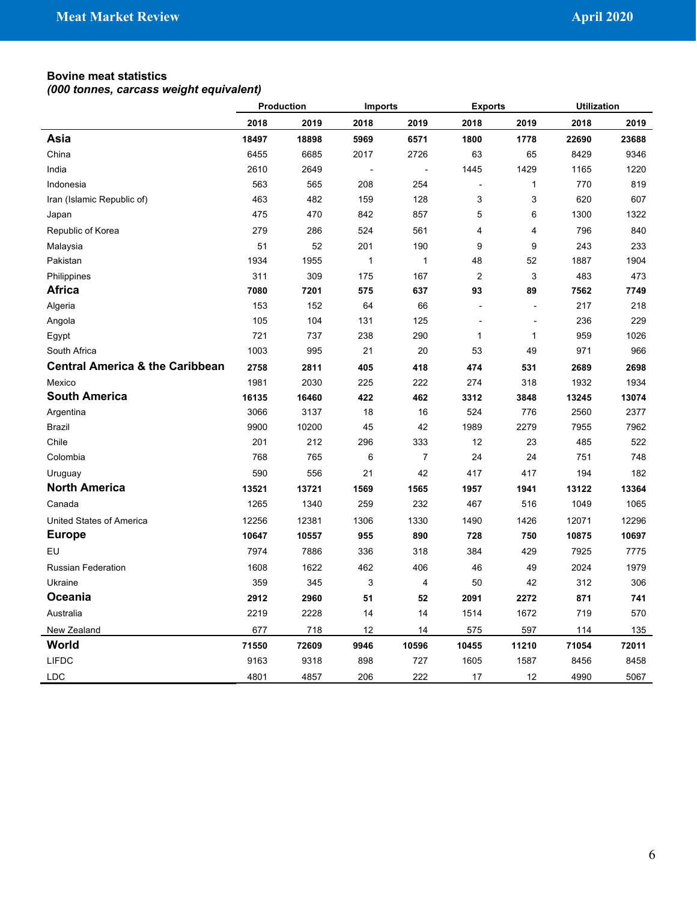#### **Bovine meat statistics**

|                                            | Production |       | <b>Imports</b> |                | <b>Exports</b>           |                | <b>Utilization</b> |       |
|--------------------------------------------|------------|-------|----------------|----------------|--------------------------|----------------|--------------------|-------|
|                                            | 2018       | 2019  | 2018           | 2019           | 2018                     | 2019           | 2018               | 2019  |
| Asia                                       | 18497      | 18898 | 5969           | 6571           | 1800                     | 1778           | 22690              | 23688 |
| China                                      | 6455       | 6685  | 2017           | 2726           | 63                       | 65             | 8429               | 9346  |
| India                                      | 2610       | 2649  | L,             | $\overline{a}$ | 1445                     | 1429           | 1165               | 1220  |
| Indonesia                                  | 563        | 565   | 208            | 254            | $\overline{\phantom{a}}$ | $\mathbf{1}$   | 770                | 819   |
| Iran (Islamic Republic of)                 | 463        | 482   | 159            | 128            | 3                        | 3              | 620                | 607   |
| Japan                                      | 475        | 470   | 842            | 857            | 5                        | 6              | 1300               | 1322  |
| Republic of Korea                          | 279        | 286   | 524            | 561            | 4                        | 4              | 796                | 840   |
| Malaysia                                   | 51         | 52    | 201            | 190            | 9                        | 9              | 243                | 233   |
| Pakistan                                   | 1934       | 1955  | $\mathbf{1}$   | 1              | 48                       | 52             | 1887               | 1904  |
| Philippines                                | 311        | 309   | 175            | 167            | $\overline{2}$           | 3              | 483                | 473   |
| Africa                                     | 7080       | 7201  | 575            | 637            | 93                       | 89             | 7562               | 7749  |
| Algeria                                    | 153        | 152   | 64             | 66             | $\overline{a}$           | $\overline{a}$ | 217                | 218   |
| Angola                                     | 105        | 104   | 131            | 125            | ÷,                       | ÷,             | 236                | 229   |
| Egypt                                      | 721        | 737   | 238            | 290            | $\mathbf{1}$             | $\mathbf{1}$   | 959                | 1026  |
| South Africa                               | 1003       | 995   | 21             | 20             | 53                       | 49             | 971                | 966   |
| <b>Central America &amp; the Caribbean</b> | 2758       | 2811  | 405            | 418            | 474                      | 531            | 2689               | 2698  |
| Mexico                                     | 1981       | 2030  | 225            | 222            | 274                      | 318            | 1932               | 1934  |
| <b>South America</b>                       | 16135      | 16460 | 422            | 462            | 3312                     | 3848           | 13245              | 13074 |
| Argentina                                  | 3066       | 3137  | 18             | 16             | 524                      | 776            | 2560               | 2377  |
| <b>Brazil</b>                              | 9900       | 10200 | 45             | 42             | 1989                     | 2279           | 7955               | 7962  |
| Chile                                      | 201        | 212   | 296            | 333            | 12                       | 23             | 485                | 522   |
| Colombia                                   | 768        | 765   | 6              | $\overline{7}$ | 24                       | 24             | 751                | 748   |
| Uruguay                                    | 590        | 556   | 21             | 42             | 417                      | 417            | 194                | 182   |
| <b>North America</b>                       | 13521      | 13721 | 1569           | 1565           | 1957                     | 1941           | 13122              | 13364 |
| Canada                                     | 1265       | 1340  | 259            | 232            | 467                      | 516            | 1049               | 1065  |
| United States of America                   | 12256      | 12381 | 1306           | 1330           | 1490                     | 1426           | 12071              | 12296 |
| <b>Europe</b>                              | 10647      | 10557 | 955            | 890            | 728                      | 750            | 10875              | 10697 |
| EU                                         | 7974       | 7886  | 336            | 318            | 384                      | 429            | 7925               | 7775  |
| <b>Russian Federation</b>                  | 1608       | 1622  | 462            | 406            | 46                       | 49             | 2024               | 1979  |
| Ukraine                                    | 359        | 345   | 3              | $\overline{4}$ | 50                       | 42             | 312                | 306   |
| Oceania                                    | 2912       | 2960  | 51             | 52             | 2091                     | 2272           | 871                | 741   |
| Australia                                  | 2219       | 2228  | 14             | 14             | 1514                     | 1672           | 719                | 570   |
| New Zealand                                | 677        | 718   | 12             | 14             | 575                      | 597            | 114                | 135   |
| World                                      | 71550      | 72609 | 9946           | 10596          | 10455                    | 11210          | 71054              | 72011 |
| <b>LIFDC</b>                               | 9163       | 9318  | 898            | 727            | 1605                     | 1587           | 8456               | 8458  |
| LDC                                        | 4801       | 4857  | 206            | 222            | 17                       | 12             | 4990               | 5067  |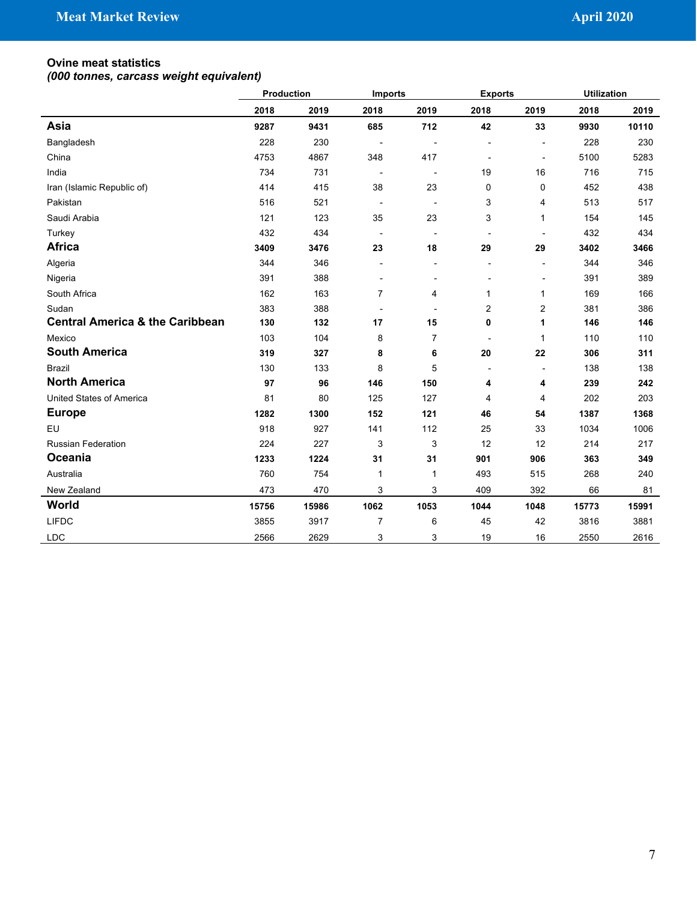#### **Ovine meat statistics**

|                                            | Production | <b>Imports</b> |                          | <b>Exports</b> |                          | <b>Utilization</b> |       |       |
|--------------------------------------------|------------|----------------|--------------------------|----------------|--------------------------|--------------------|-------|-------|
|                                            | 2018       | 2019           | 2018                     | 2019           | 2018                     | 2019               | 2018  | 2019  |
| Asia                                       | 9287       | 9431           | 685                      | 712            | 42                       | 33                 | 9930  | 10110 |
| Bangladesh                                 | 228        | 230            |                          |                | $\overline{a}$           | $\overline{a}$     | 228   | 230   |
| China                                      | 4753       | 4867           | 348                      | 417            |                          | Ĭ.                 | 5100  | 5283  |
| India                                      | 734        | 731            | $\overline{\phantom{a}}$ |                | 19                       | 16                 | 716   | 715   |
| Iran (Islamic Republic of)                 | 414        | 415            | 38                       | 23             | $\mathbf 0$              | 0                  | 452   | 438   |
| Pakistan                                   | 516        | 521            | $\overline{\phantom{a}}$ |                | 3                        | 4                  | 513   | 517   |
| Saudi Arabia                               | 121        | 123            | 35                       | 23             | 3                        | 1                  | 154   | 145   |
| Turkey                                     | 432        | 434            | $\overline{a}$           |                | $\overline{a}$           |                    | 432   | 434   |
| <b>Africa</b>                              | 3409       | 3476           | 23                       | 18             | 29                       | 29                 | 3402  | 3466  |
| Algeria                                    | 344        | 346            | $\overline{a}$           |                | $\overline{a}$           | ÷,                 | 344   | 346   |
| Nigeria                                    | 391        | 388            |                          |                |                          | ÷,                 | 391   | 389   |
| South Africa                               | 162        | 163            | $\overline{7}$           | $\overline{4}$ | $\mathbf{1}$             | $\mathbf{1}$       | 169   | 166   |
| Sudan                                      | 383        | 388            | $\overline{\phantom{a}}$ |                | $\overline{2}$           | $\overline{2}$     | 381   | 386   |
| <b>Central America &amp; the Caribbean</b> | 130        | 132            | 17                       | 15             | $\mathbf 0$              | 1                  | 146   | 146   |
| Mexico                                     | 103        | 104            | 8                        | $\overline{7}$ | $\overline{\phantom{a}}$ | $\mathbf{1}$       | 110   | 110   |
| <b>South America</b>                       | 319        | 327            | 8                        | 6              | 20                       | 22                 | 306   | 311   |
| <b>Brazil</b>                              | 130        | 133            | 8                        | 5              |                          |                    | 138   | 138   |
| <b>North America</b>                       | 97         | 96             | 146                      | 150            | 4                        | 4                  | 239   | 242   |
| <b>United States of America</b>            | 81         | 80             | 125                      | 127            | 4                        | 4                  | 202   | 203   |
| <b>Europe</b>                              | 1282       | 1300           | 152                      | 121            | 46                       | 54                 | 1387  | 1368  |
| EU                                         | 918        | 927            | 141                      | 112            | 25                       | 33                 | 1034  | 1006  |
| <b>Russian Federation</b>                  | 224        | 227            | 3                        | 3              | 12                       | 12                 | 214   | 217   |
| Oceania                                    | 1233       | 1224           | 31                       | 31             | 901                      | 906                | 363   | 349   |
| Australia                                  | 760        | 754            | $\mathbf{1}$             | $\mathbf{1}$   | 493                      | 515                | 268   | 240   |
| New Zealand                                | 473        | 470            | 3                        | 3              | 409                      | 392                | 66    | 81    |
| World                                      | 15756      | 15986          | 1062                     | 1053           | 1044                     | 1048               | 15773 | 15991 |
| <b>LIFDC</b>                               | 3855       | 3917           | $\overline{7}$           | 6              | 45                       | 42                 | 3816  | 3881  |
| <b>LDC</b>                                 | 2566       | 2629           | 3                        | 3              | 19                       | 16                 | 2550  | 2616  |
|                                            |            |                |                          |                |                          |                    |       |       |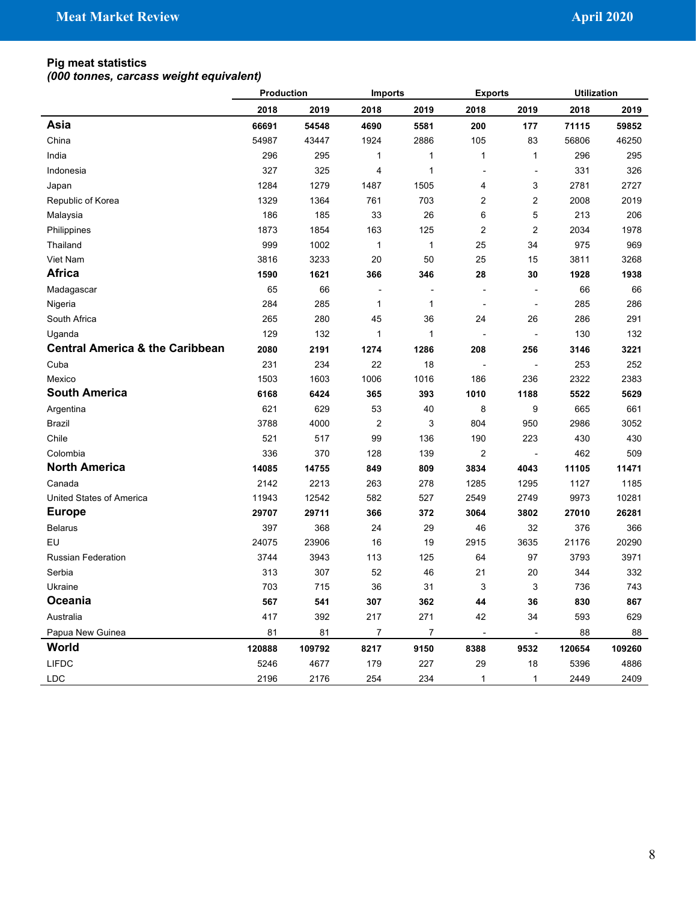#### **Pig meat statistics**

|                                            |        | Production<br><b>Imports</b> |                  | <b>Exports</b> |                          | <b>Utilization</b>       |        |        |
|--------------------------------------------|--------|------------------------------|------------------|----------------|--------------------------|--------------------------|--------|--------|
|                                            | 2018   | 2019                         | 2018             | 2019           | 2018                     | 2019                     | 2018   | 2019   |
| Asia                                       | 66691  | 54548                        | 4690             | 5581           | 200                      | 177                      | 71115  | 59852  |
| China                                      | 54987  | 43447                        | 1924             | 2886           | 105                      | 83                       | 56806  | 46250  |
| India                                      | 296    | 295                          | $\mathbf{1}$     | 1              | 1                        | 1                        | 296    | 295    |
| Indonesia                                  | 327    | 325                          | 4                | 1              |                          | $\overline{a}$           | 331    | 326    |
| Japan                                      | 1284   | 1279                         | 1487             | 1505           | 4                        | 3                        | 2781   | 2727   |
| Republic of Korea                          | 1329   | 1364                         | 761              | 703            | 2                        | 2                        | 2008   | 2019   |
| Malaysia                                   | 186    | 185                          | 33               | 26             | 6                        | 5                        | 213    | 206    |
| Philippines                                | 1873   | 1854                         | 163              | 125            | $\overline{2}$           | $\overline{2}$           | 2034   | 1978   |
| Thailand                                   | 999    | 1002                         | $\mathbf{1}$     | 1              | 25                       | 34                       | 975    | 969    |
| Viet Nam                                   | 3816   | 3233                         | 20               | 50             | 25                       | 15                       | 3811   | 3268   |
| <b>Africa</b>                              | 1590   | 1621                         | 366              | 346            | 28                       | 30                       | 1928   | 1938   |
| Madagascar                                 | 65     | 66                           |                  |                |                          |                          | 66     | 66     |
| Nigeria                                    | 284    | 285                          | $\mathbf{1}$     | 1              | $\overline{\phantom{a}}$ | $\overline{\phantom{a}}$ | 285    | 286    |
| South Africa                               | 265    | 280                          | 45               | 36             | 24                       | 26                       | 286    | 291    |
| Uganda                                     | 129    | 132                          | $\mathbf{1}$     | 1              | $\overline{\phantom{a}}$ | $\overline{\phantom{a}}$ | 130    | 132    |
| <b>Central America &amp; the Caribbean</b> | 2080   | 2191                         | 1274             | 1286           | 208                      | 256                      | 3146   | 3221   |
| Cuba                                       | 231    | 234                          | 22               | 18             |                          | $\overline{\phantom{a}}$ | 253    | 252    |
| Mexico                                     | 1503   | 1603                         | 1006             | 1016           | 186                      | 236                      | 2322   | 2383   |
| <b>South America</b>                       | 6168   | 6424                         | 365              | 393            | 1010                     | 1188                     | 5522   | 5629   |
| Argentina                                  | 621    | 629                          | 53               | 40             | 8                        | 9                        | 665    | 661    |
| <b>Brazil</b>                              | 3788   | 4000                         | $\boldsymbol{2}$ | 3              | 804                      | 950                      | 2986   | 3052   |
| Chile                                      | 521    | 517                          | 99               | 136            | 190                      | 223                      | 430    | 430    |
| Colombia                                   | 336    | 370                          | 128              | 139            | $\overline{2}$           | $\overline{a}$           | 462    | 509    |
| <b>North America</b>                       | 14085  | 14755                        | 849              | 809            | 3834                     | 4043                     | 11105  | 11471  |
| Canada                                     | 2142   | 2213                         | 263              | 278            | 1285                     | 1295                     | 1127   | 1185   |
| United States of America                   | 11943  | 12542                        | 582              | 527            | 2549                     | 2749                     | 9973   | 10281  |
| <b>Europe</b>                              | 29707  | 29711                        | 366              | 372            | 3064                     | 3802                     | 27010  | 26281  |
| <b>Belarus</b>                             | 397    | 368                          | 24               | 29             | 46                       | 32                       | 376    | 366    |
| EU                                         | 24075  | 23906                        | 16               | 19             | 2915                     | 3635                     | 21176  | 20290  |
| <b>Russian Federation</b>                  | 3744   | 3943                         | 113              | 125            | 64                       | 97                       | 3793   | 3971   |
| Serbia                                     | 313    | 307                          | 52               | 46             | 21                       | 20                       | 344    | 332    |
| Ukraine                                    | 703    | 715                          | 36               | 31             | 3                        | 3                        | 736    | 743    |
| Oceania                                    | 567    | 541                          | 307              | 362            | 44                       | 36                       | 830    | 867    |
| Australia                                  | 417    | 392                          | 217              | 271            | 42                       | 34                       | 593    | 629    |
| Papua New Guinea                           | 81     | 81                           | 7                | $\overline{7}$ | $\overline{\phantom{a}}$ | $\overline{\phantom{a}}$ | 88     | 88     |
| World                                      | 120888 | 109792                       | 8217             | 9150           | 8388                     | 9532                     | 120654 | 109260 |
| <b>LIFDC</b>                               | 5246   | 4677                         | 179              | 227            | 29                       | 18                       | 5396   | 4886   |
| LDC                                        | 2196   | 2176                         | 254              | 234            | 1                        | 1                        | 2449   | 2409   |
|                                            |        |                              |                  |                |                          |                          |        |        |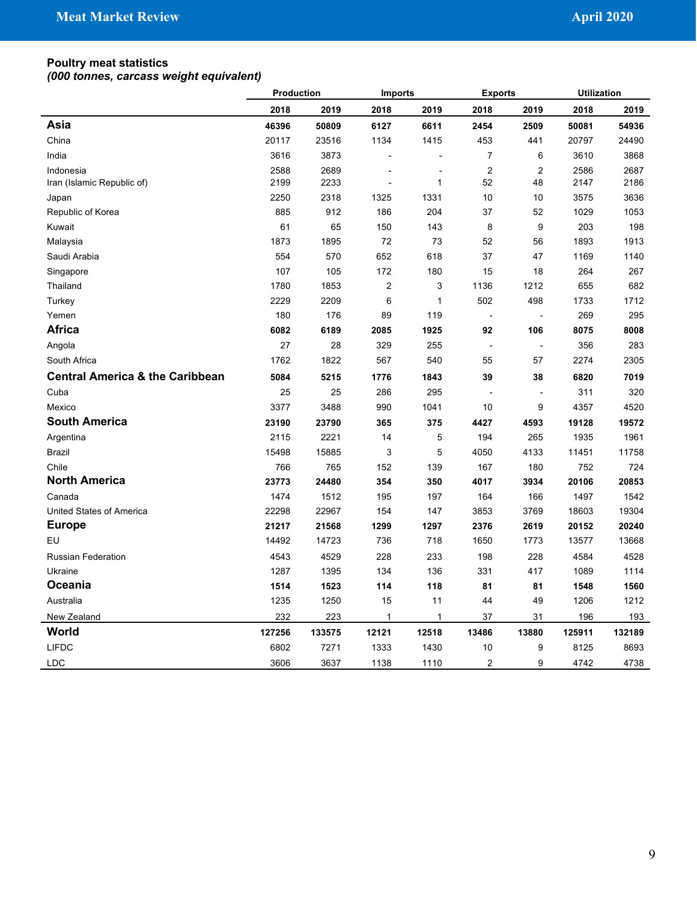#### **Poultry meat statistics**

|                                            | Production |        | <b>Imports</b> |              | <b>Exports</b> |                | <b>Utilization</b> |        |
|--------------------------------------------|------------|--------|----------------|--------------|----------------|----------------|--------------------|--------|
|                                            | 2018       | 2019   | 2018           | 2019         | 2018           | 2019           | 2018               | 2019   |
| Asia                                       | 46396      | 50809  | 6127           | 6611         | 2454           | 2509           | 50081              | 54936  |
| China                                      | 20117      | 23516  | 1134           | 1415         | 453            | 441            | 20797              | 24490  |
| India                                      | 3616       | 3873   |                |              | $\overline{7}$ | 6              | 3610               | 3868   |
| Indonesia                                  | 2588       | 2689   |                |              | $\overline{2}$ | $\overline{2}$ | 2586               | 2687   |
| Iran (Islamic Republic of)                 | 2199       | 2233   |                | 1            | 52             | 48             | 2147               | 2186   |
| Japan                                      | 2250       | 2318   | 1325           | 1331         | 10             | 10             | 3575               | 3636   |
| Republic of Korea                          | 885        | 912    | 186            | 204          | 37             | 52             | 1029               | 1053   |
| Kuwait                                     | 61         | 65     | 150            | 143          | 8              | 9              | 203                | 198    |
| Malaysia                                   | 1873       | 1895   | 72             | 73           | 52             | 56             | 1893               | 1913   |
| Saudi Arabia                               | 554        | 570    | 652            | 618          | 37             | 47             | 1169               | 1140   |
| Singapore                                  | 107        | 105    | 172            | 180          | 15             | 18             | 264                | 267    |
| Thailand                                   | 1780       | 1853   | $\overline{2}$ | 3            | 1136           | 1212           | 655                | 682    |
| Turkey                                     | 2229       | 2209   | 6              | $\mathbf{1}$ | 502            | 498            | 1733               | 1712   |
| Yemen                                      | 180        | 176    | 89             | 119          | $\blacksquare$ | $\blacksquare$ | 269                | 295    |
| <b>Africa</b>                              | 6082       | 6189   | 2085           | 1925         | 92             | 106            | 8075               | 8008   |
| Angola                                     | 27         | 28     | 329            | 255          | $\overline{a}$ | $\overline{a}$ | 356                | 283    |
| South Africa                               | 1762       | 1822   | 567            | 540          | 55             | 57             | 2274               | 2305   |
| <b>Central America &amp; the Caribbean</b> | 5084       | 5215   | 1776           | 1843         | 39             | 38             | 6820               | 7019   |
| Cuba                                       | 25         | 25     | 286            | 295          |                | ÷,             | 311                | 320    |
| Mexico                                     | 3377       | 3488   | 990            | 1041         | 10             | 9              | 4357               | 4520   |
| <b>South America</b>                       | 23190      | 23790  | 365            | 375          | 4427           | 4593           | 19128              | 19572  |
| Argentina                                  | 2115       | 2221   | 14             | 5            | 194            | 265            | 1935               | 1961   |
| Brazil                                     | 15498      | 15885  | 3              | 5            | 4050           | 4133           | 11451              | 11758  |
| Chile                                      | 766        | 765    | 152            | 139          | 167            | 180            | 752                | 724    |
| <b>North America</b>                       | 23773      | 24480  | 354            | 350          | 4017           | 3934           | 20106              | 20853  |
| Canada                                     | 1474       | 1512   | 195            | 197          | 164            | 166            | 1497               | 1542   |
| United States of America                   | 22298      | 22967  | 154            | 147          | 3853           | 3769           | 18603              | 19304  |
| <b>Europe</b>                              | 21217      | 21568  | 1299           | 1297         | 2376           | 2619           | 20152              | 20240  |
| EU                                         | 14492      | 14723  | 736            | 718          | 1650           | 1773           | 13577              | 13668  |
| <b>Russian Federation</b>                  | 4543       | 4529   | 228            | 233          | 198            | 228            | 4584               | 4528   |
| Ukraine                                    | 1287       | 1395   | 134            | 136          | 331            | 417            | 1089               | 1114   |
| Oceania                                    | 1514       | 1523   | 114            | 118          | 81             | 81             | 1548               | 1560   |
| Australia                                  | 1235       | 1250   | 15             | 11           | 44             | 49             | 1206               | 1212   |
| New Zealand                                | 232        | 223    | 1              | 1            | 37             | 31             | 196                | 193    |
| World                                      | 127256     | 133575 | 12121          | 12518        | 13486          | 13880          | 125911             | 132189 |
| <b>LIFDC</b>                               | 6802       | 7271   | 1333           | 1430         | 10             | 9              | 8125               | 8693   |
| <b>LDC</b>                                 | 3606       | 3637   | 1138           | 1110         | $\overline{2}$ | 9              | 4742               | 4738   |